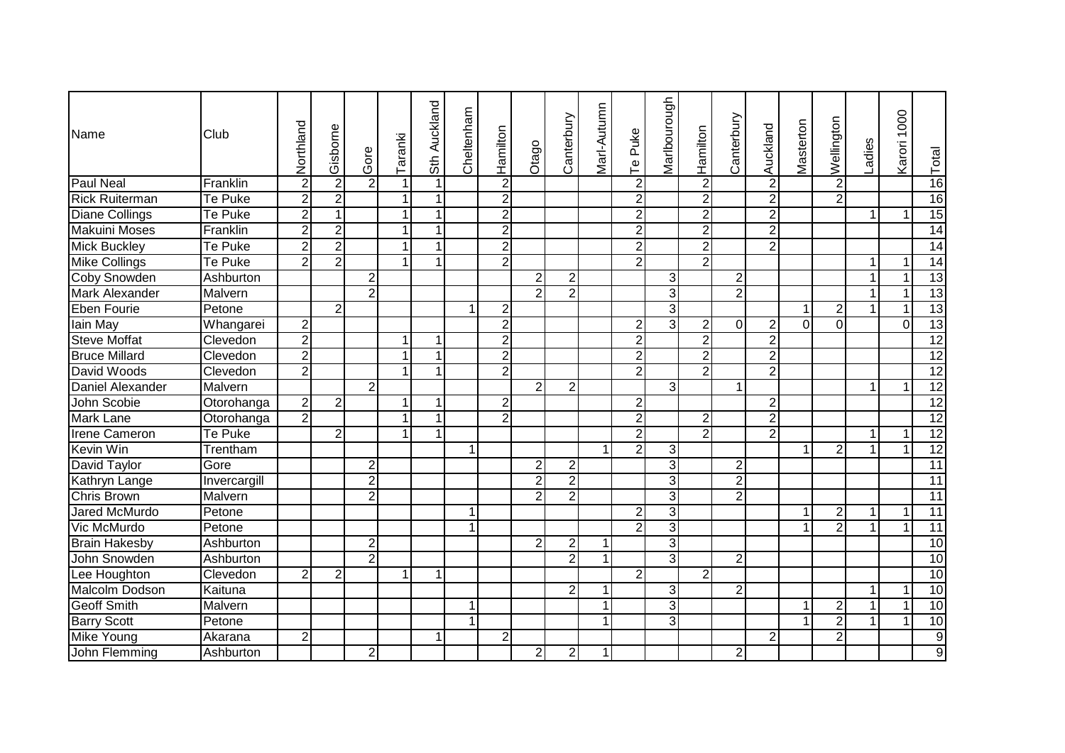| Name                  | Club         | Northland               | Gisborne       | Gore           | Taranki      | Sth Auckland | Cheltenham   | Hamilton       | Otago          | Canterbury     | Marl-Autumn | Puke<br>$\overline{\mathsf{P}}$ | Marlbourough   | Hamilton       | Canterbury     | Auckland       | Masterton               | Wellington     | Ladies       | Karori 1000 | Total           |
|-----------------------|--------------|-------------------------|----------------|----------------|--------------|--------------|--------------|----------------|----------------|----------------|-------------|---------------------------------|----------------|----------------|----------------|----------------|-------------------------|----------------|--------------|-------------|-----------------|
| <b>Paul Neal</b>      | Franklin     | $\overline{\mathbf{c}}$ | 2              | $\overline{2}$ | $\mathbf{1}$ | 1            |              | $\overline{2}$ |                |                |             | $\overline{2}$                  |                | $\overline{2}$ |                | $\overline{2}$ |                         | $\overline{2}$ |              |             | 16              |
| <b>Rick Ruiterman</b> | Te Puke      | $\overline{2}$          | 2              |                | $\mathbf{1}$ |              |              | $\overline{2}$ |                |                |             | $\overline{2}$                  |                | $\overline{2}$ |                | $\overline{2}$ |                         | $\overline{2}$ |              |             | 16              |
| <b>Diane Collings</b> | Te Puke      | $\overline{2}$          |                |                | $\mathbf{1}$ | $\mathbf 1$  |              | $\overline{2}$ |                |                |             | $\overline{2}$                  |                | $\overline{2}$ |                | $\overline{2}$ |                         |                | $\mathbf{1}$ | 1           | 15              |
| <b>Makuini Moses</b>  | Franklin     | $\overline{2}$          | $\overline{2}$ |                | $\mathbf{1}$ | 1            |              | $\overline{2}$ |                |                |             | $\overline{2}$                  |                | $\overline{2}$ |                | $\overline{2}$ |                         |                |              |             | 14              |
| <b>Mick Buckley</b>   | Te Puke      | $\overline{2}$          | $\overline{2}$ |                | $\mathbf{1}$ | 1            |              | $\overline{2}$ |                |                |             | $\overline{2}$                  |                | $\overline{2}$ |                | $\overline{2}$ |                         |                |              |             | $\overline{14}$ |
| Mike Collings         | Te Puke      | $\overline{2}$          | $\overline{2}$ |                | $\mathbf{1}$ | $\mathbf{1}$ |              | $\overline{2}$ |                |                |             | $\overline{2}$                  |                | $\overline{2}$ |                |                |                         |                | 1            | 1           | 14              |
| <b>Coby Snowden</b>   | Ashburton    |                         |                | $\overline{2}$ |              |              |              |                | $\overline{2}$ | $\overline{2}$ |             |                                 | $\overline{3}$ |                | 2              |                |                         |                | $\mathbf{1}$ | 1           | 13              |
| Mark Alexander        | Malvern      |                         |                | 2              |              |              |              |                | $\overline{2}$ | $\overline{2}$ |             |                                 | $\overline{3}$ |                | $\overline{2}$ |                |                         |                | 1            |             | 13              |
| <b>Eben Fourie</b>    | Petone       |                         | $\overline{2}$ |                |              |              | 1            | 2              |                |                |             |                                 | $\overline{3}$ |                |                |                | $\overline{\mathbf{1}}$ | $\mathbf{2}$   | $\mathbf{1}$ | 1           | 13              |
| lain May              | Whangarei    | $\overline{2}$          |                |                |              |              |              | $\overline{2}$ |                |                |             | $\overline{2}$                  | 3              | $\overline{2}$ | $\Omega$       | 2              | $\Omega$                | $\Omega$       |              | $\Omega$    | 13              |
| <b>Steve Moffat</b>   | Clevedon     | $\overline{2}$          |                |                | $\mathbf{1}$ | $\mathbf{1}$ |              | $\overline{2}$ |                |                |             | $\overline{2}$                  |                | $\overline{2}$ |                | $\overline{2}$ |                         |                |              |             | $\overline{12}$ |
| <b>Bruce Millard</b>  | Clevedon     | $\overline{2}$          |                |                | $\mathbf{1}$ | $\mathbf{1}$ |              | $\overline{2}$ |                |                |             | $\overline{2}$                  |                | $\overline{2}$ |                | $\overline{2}$ |                         |                |              |             | 12              |
| David Woods           | Clevedon     | $\overline{2}$          |                |                | $\mathbf{1}$ | $\mathbf{1}$ |              | $\overline{2}$ |                |                |             | $\overline{2}$                  |                | $\overline{2}$ |                | $\overline{2}$ |                         |                |              |             | 12              |
| Daniel Alexander      | Malvern      |                         |                | $\overline{2}$ |              |              |              |                | $\overline{2}$ | $\overline{2}$ |             |                                 | 3              |                | $\mathbf 1$    |                |                         |                | 1            | 1           | $\overline{12}$ |
| John Scobie           | Otorohanga   | $\overline{2}$          | $\overline{2}$ |                | $\mathbf{1}$ | $\mathbf{1}$ |              | $\overline{2}$ |                |                |             | $\overline{2}$                  |                |                |                | $\overline{2}$ |                         |                |              |             | $\overline{12}$ |
| <b>Mark Lane</b>      | Otorohanga   | $\overline{2}$          |                |                | 1            | $\mathbf{1}$ |              | $\overline{2}$ |                |                |             | $\overline{2}$                  |                | $\overline{2}$ |                | $\overline{2}$ |                         |                |              |             | 12              |
| <b>Irene Cameron</b>  | Te Puke      |                         | $\overline{2}$ |                | $\mathbf{1}$ | $\mathbf{1}$ |              |                |                |                |             | $\overline{2}$                  |                | $\overline{2}$ |                | $\overline{2}$ |                         |                | $\mathbf{1}$ | 1           | $\overline{12}$ |
| <b>Kevin Win</b>      | Trentham     |                         |                |                |              |              | $\mathbf{1}$ |                |                |                | 1           | $\overline{2}$                  | 3              |                |                |                | -1                      | $\overline{2}$ | $\mathbf{1}$ |             | $\overline{12}$ |
| David Taylor          | Gore         |                         |                | $\overline{2}$ |              |              |              |                | $\overline{2}$ | $\overline{2}$ |             |                                 | $\overline{3}$ |                | $\overline{2}$ |                |                         |                |              |             | 11              |
| <b>Kathryn Lange</b>  | Invercargill |                         |                | $\overline{2}$ |              |              |              |                | $\overline{2}$ | $\overline{2}$ |             |                                 | 3              |                | $\overline{2}$ |                |                         |                |              |             | 11              |
| Chris Brown           | Malvern      |                         |                | $\overline{2}$ |              |              |              |                | $\overline{2}$ | $\overline{2}$ |             |                                 | 3              |                | $\overline{2}$ |                |                         |                |              |             | $\overline{11}$ |
| <b>Jared McMurdo</b>  | Petone       |                         |                |                |              |              | 1            |                |                |                |             | $\overline{2}$                  | 3              |                |                |                |                         | $\overline{c}$ | $\mathbf{1}$ | 1           | $\overline{11}$ |
| Vic McMurdo           | Petone       |                         |                |                |              |              |              |                |                |                |             | $\overline{2}$                  | $\overline{3}$ |                |                |                |                         | $\overline{2}$ | $\mathbf{1}$ | 1           | 11              |
| <b>Brain Hakesby</b>  | Ashburton    |                         |                | 2              |              |              |              |                | 2              | 2              |             |                                 | 3              |                |                |                |                         |                |              |             | 10              |
| John Snowden          | Ashburton    |                         |                | $\overline{2}$ |              |              |              |                |                | $\overline{2}$ |             |                                 | 3              |                | 2              |                |                         |                |              |             | 10              |
| Lee Houghton          | Clevedon     | $\overline{c}$          | 2              |                | 1            | $\mathbf 1$  |              |                |                |                |             | $\overline{2}$                  |                | $\overline{2}$ |                |                |                         |                |              |             | 10              |
| Malcolm Dodson        | Kaituna      |                         |                |                |              |              |              |                |                | $\overline{2}$ |             |                                 | $\overline{3}$ |                | $\overline{2}$ |                |                         |                | $\mathbf{1}$ | 1           | 10              |
| <b>Geoff Smith</b>    | Malvern      |                         |                |                |              |              | 1            |                |                |                | 1           |                                 | $\overline{3}$ |                |                |                | -1                      | $\overline{2}$ | $\mathbf{1}$ | 1           | 10              |
| <b>Barry Scott</b>    | Petone       |                         |                |                |              |              | 1            |                |                |                | 1           |                                 | 3              |                |                |                | -1                      | $\overline{2}$ | 1            |             | 10              |
| Mike Young            | Akarana      | 2                       |                |                |              | $\mathbf 1$  |              | 2              |                |                |             |                                 |                |                |                | $\overline{2}$ |                         | $\overline{2}$ |              |             | $\overline{9}$  |
| John Flemming         | Ashburton    |                         |                | $\overline{2}$ |              |              |              |                | $\overline{2}$ | $\overline{2}$ | 1           |                                 |                |                | $\overline{2}$ |                |                         |                |              |             | $\overline{9}$  |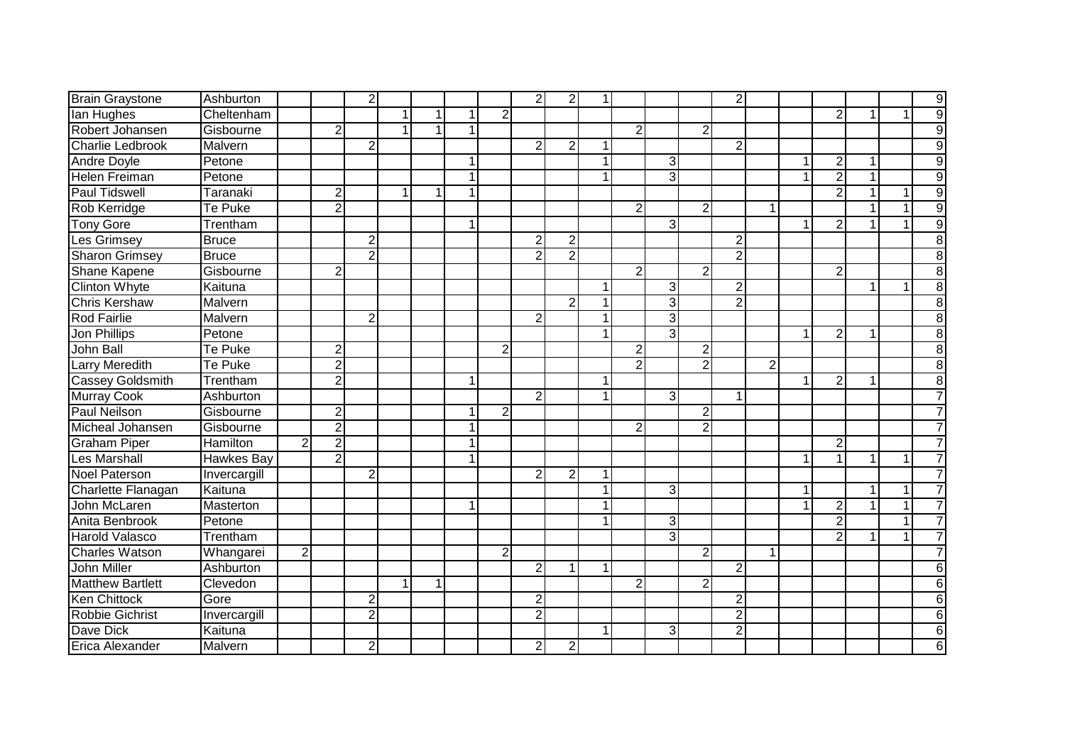| <b>Brain Graystone</b>  | Ashburton         |                |                | $\overline{2}$ |   |   |              |                | $\overline{2}$          | $\overline{2}$ | 1  |                |                |                | 2              |   |                         |                  |              |   | 9              |
|-------------------------|-------------------|----------------|----------------|----------------|---|---|--------------|----------------|-------------------------|----------------|----|----------------|----------------|----------------|----------------|---|-------------------------|------------------|--------------|---|----------------|
| lan Hughes              | Cheltenham        |                |                |                | 1 |   | 1            | $\overline{c}$ |                         |                |    |                |                |                |                |   |                         | $\overline{c}$   |              |   | $\overline{9}$ |
| Robert Johansen         | Gisbourne         |                | $\overline{2}$ |                | 1 | 1 | $\mathbf 1$  |                |                         |                |    | $\overline{2}$ |                | 2              |                |   |                         |                  |              |   | $\overline{9}$ |
| <b>Charlie Ledbrook</b> | Malvern           |                |                | $\overline{2}$ |   |   |              |                | $\overline{2}$          | $\overline{2}$ | -1 |                |                |                | $\overline{2}$ |   |                         |                  |              |   | 9              |
| Andre Doyle             | Petone            |                |                |                |   |   | 1            |                |                         |                |    |                | $\overline{3}$ |                |                |   | 1                       | $\boldsymbol{2}$ | 1            |   | $\overline{9}$ |
| <b>Helen Freiman</b>    | Petone            |                |                |                |   |   | $\mathbf{1}$ |                |                         |                |    |                | $\overline{3}$ |                |                |   | 1                       | $\overline{2}$   | $\mathbf{1}$ |   | $\overline{9}$ |
| <b>Paul Tidswell</b>    | Taranaki          |                | $\overline{2}$ |                | 1 | 1 | $\mathbf{1}$ |                |                         |                |    |                |                |                |                |   |                         | $\overline{2}$   | $\mathbf{1}$ |   | $\overline{9}$ |
| Rob Kerridge            | Te Puke           |                | $\overline{2}$ |                |   |   |              |                |                         |                |    | $\overline{2}$ |                | $\overline{2}$ |                |   |                         |                  |              |   | $\overline{9}$ |
| <b>Tony Gore</b>        | Trentham          |                |                |                |   |   | 1            |                |                         |                |    |                | 3              |                |                |   | 1                       | $\overline{2}$   |              |   | $\overline{9}$ |
| Les Grimsey             | <b>Bruce</b>      |                |                | $\overline{2}$ |   |   |              |                | $\overline{2}$          | $\overline{2}$ |    |                |                |                | $\overline{c}$ |   |                         |                  |              |   | $\overline{8}$ |
| Sharon Grimsey          | <b>Bruce</b>      |                |                | $\overline{2}$ |   |   |              |                | $\overline{2}$          | $\overline{2}$ |    |                |                |                | $\overline{2}$ |   |                         |                  |              |   | 8              |
| Shane Kapene            | Gisbourne         |                | $\overline{c}$ |                |   |   |              |                |                         |                |    | $\overline{2}$ |                | 2 <sup>2</sup> |                |   |                         | $\overline{2}$   |              |   | 8              |
| Clinton Whyte           | Kaituna           |                |                |                |   |   |              |                |                         |                |    |                | 3              |                | $\overline{2}$ |   |                         |                  | $\mathbf 1$  |   | $\overline{8}$ |
| <b>Chris Kershaw</b>    | Malvern           |                |                |                |   |   |              |                |                         | $\overline{2}$ |    |                | 3              |                | $\overline{2}$ |   |                         |                  |              |   | 8              |
| <b>Rod Fairlie</b>      | Malvern           |                |                | 2              |   |   |              |                | 2                       |                |    |                | 3              |                |                |   |                         |                  |              |   | 8              |
| Jon Phillips            | Petone            |                |                |                |   |   |              |                |                         |                |    |                | 3              |                |                |   |                         | $\overline{2}$   |              |   | 8              |
| John Ball               | Te Puke           |                | $\overline{2}$ |                |   |   |              | $\overline{2}$ |                         |                |    | $\overline{2}$ |                | $\overline{2}$ |                |   |                         |                  |              |   | 8              |
| <b>Larry Meredith</b>   | Te Puke           |                | $\overline{2}$ |                |   |   |              |                |                         |                |    | $\overline{2}$ |                | $\overline{2}$ |                | 2 |                         |                  |              |   | 8              |
| Cassey Goldsmith        | Trentham          |                | $\overline{2}$ |                |   |   |              |                |                         |                |    |                |                |                |                |   | 1                       | $\overline{c}$   |              |   | 8              |
| Murray Cook             | Ashburton         |                |                |                |   |   |              |                | $\overline{2}$          |                | 1  |                | $\overline{3}$ |                | 1              |   |                         |                  |              |   | $\overline{7}$ |
| Paul Neilson            | Gisbourne         |                | $\overline{2}$ |                |   |   | $\mathbf{1}$ | $\overline{2}$ |                         |                |    |                |                | $\overline{2}$ |                |   |                         |                  |              |   | $\overline{7}$ |
| Micheal Johansen        | Gisbourne         |                | $\overline{2}$ |                |   |   | 1            |                |                         |                |    | $\overline{2}$ |                | $\overline{2}$ |                |   |                         |                  |              |   | $\overline{7}$ |
| Graham Piper            | Hamilton          | $\overline{2}$ | $\overline{2}$ |                |   |   | 1            |                |                         |                |    |                |                |                |                |   |                         | $\overline{2}$   |              |   | $\overline{7}$ |
| Les Marshall            | <b>Hawkes Bay</b> |                | $\overline{2}$ |                |   |   | 1            |                |                         |                |    |                |                |                |                |   | $\overline{\mathbf{1}}$ | $\mathbf{1}$     | $\mathbf{1}$ | 1 | $\overline{7}$ |
| <b>Noel Paterson</b>    | Invercargill      |                |                | $\overline{2}$ |   |   |              |                | $\overline{2}$          | $\overline{2}$ | 1  |                |                |                |                |   |                         |                  |              |   | $\overline{7}$ |
| Charlette Flanagan      | Kaituna           |                |                |                |   |   |              |                |                         |                |    |                | $\overline{3}$ |                |                |   |                         |                  | 1            |   | $\overline{7}$ |
| John McLaren            | Masterton         |                |                |                |   |   | 1            |                |                         |                |    |                |                |                |                |   |                         | $\overline{2}$   | 1            |   | $\overline{7}$ |
| Anita Benbrook          | Petone            |                |                |                |   |   |              |                |                         |                |    |                | $\overline{3}$ |                |                |   |                         | $\overline{2}$   |              |   | $\overline{7}$ |
| <b>Harold Valasco</b>   | Trentham          |                |                |                |   |   |              |                |                         |                |    |                | 3              |                |                |   |                         | $\overline{2}$   |              |   | $\overline{7}$ |
| <b>Charles Watson</b>   | Whangarei         | $\overline{c}$ |                |                |   |   |              | $\overline{2}$ |                         |                |    |                |                | 2 <sup>2</sup> |                |   |                         |                  |              |   | $\overline{7}$ |
| John Miller             | Ashburton         |                |                |                |   |   |              |                | $\overline{2}$          | 1              |    |                |                |                | $\overline{c}$ |   |                         |                  |              |   | 6              |
| <b>Matthew Bartlett</b> | Clevedon          |                |                |                | 1 | 1 |              |                |                         |                |    | $\overline{2}$ |                | $\overline{2}$ |                |   |                         |                  |              |   | 6              |
| Ken Chittock            | Gore              |                |                | 2              |   |   |              |                | 2                       |                |    |                |                |                | $\overline{c}$ |   |                         |                  |              |   | 6              |
| Robbie Gichrist         | Invercargill      |                |                | $\overline{2}$ |   |   |              |                | $\overline{2}$          |                |    |                |                |                | $\overline{2}$ |   |                         |                  |              |   | 6              |
| Dave Dick               | Kaituna           |                |                |                |   |   |              |                |                         |                | 1  |                | $\overline{3}$ |                | $\overline{2}$ |   |                         |                  |              |   | 6              |
| Erica Alexander         | Malvern           |                |                | 2              |   |   |              |                | $\overline{\mathbf{c}}$ | $\mathbf{2}$   |    |                |                |                |                |   |                         |                  |              |   | 6              |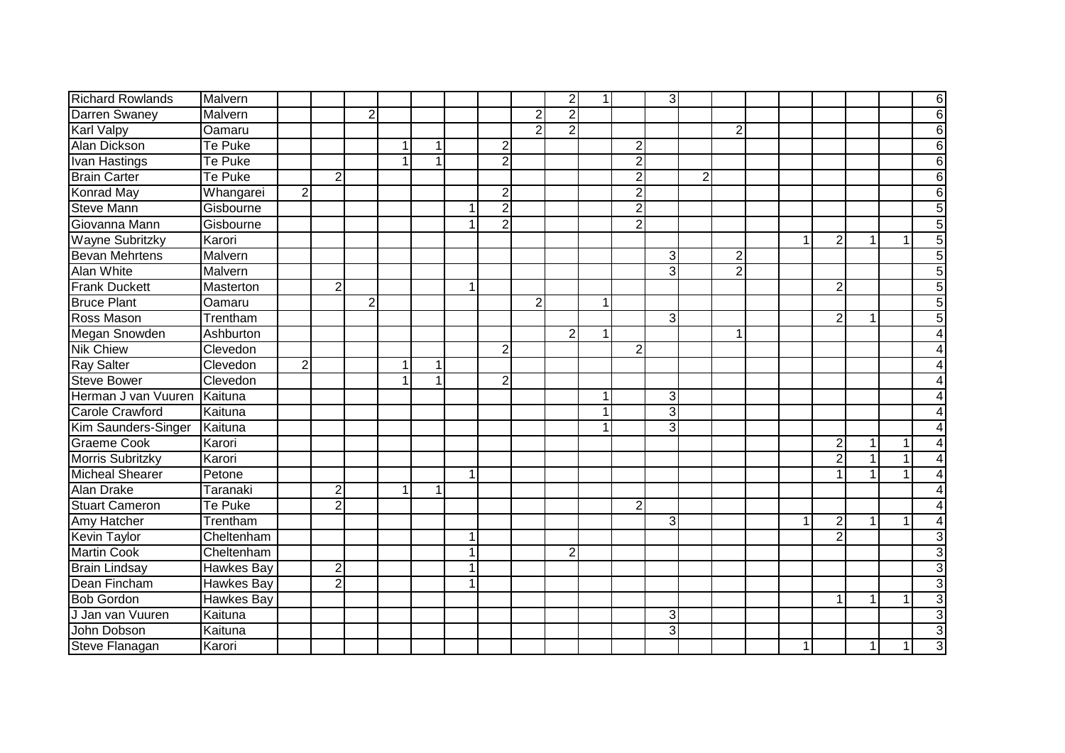| <b>Richard Rowlands</b> | Malvern           |                |                |                |   |                      |                         |                |                | $\overline{2}$ | 1 |                | 3              |                |                |              |                  |                |   | 6 |
|-------------------------|-------------------|----------------|----------------|----------------|---|----------------------|-------------------------|----------------|----------------|----------------|---|----------------|----------------|----------------|----------------|--------------|------------------|----------------|---|---|
| Darren Swaney           | Malvern           |                |                | $\overline{2}$ |   |                      |                         |                | 2              | $\overline{2}$ |   |                |                |                |                |              |                  |                |   | 6 |
| <b>Karl Valpy</b>       | Oamaru            |                |                |                |   |                      |                         |                | 2              | $\mathcal{P}$  |   |                |                |                | $\overline{2}$ |              |                  |                |   | 6 |
| Alan Dickson            | Te Puke           |                |                |                | 1 | 1                    |                         | $\overline{c}$ |                |                |   | $\overline{2}$ |                |                |                |              |                  |                |   | 6 |
| <b>Ivan Hastings</b>    | Te Puke           |                |                |                | 1 |                      |                         | $\overline{2}$ |                |                |   | $\overline{2}$ |                |                |                |              |                  |                |   | 6 |
| <b>Brain Carter</b>     | <b>Te Puke</b>    |                | $\overline{2}$ |                |   |                      |                         |                |                |                |   | $\overline{2}$ |                | $\overline{2}$ |                |              |                  |                |   | 6 |
| <b>Konrad May</b>       | Whangarei         | $\overline{2}$ |                |                |   |                      |                         | $\overline{2}$ |                |                |   | $\overline{2}$ |                |                |                |              |                  |                |   | 6 |
| <b>Steve Mann</b>       | Gisbourne         |                |                |                |   |                      |                         | $\overline{2}$ |                |                |   | $\overline{2}$ |                |                |                |              |                  |                |   |   |
| Giovanna Mann           | Gisbourne         |                |                |                |   |                      |                         | $\overline{2}$ |                |                |   | $\overline{2}$ |                |                |                |              |                  |                |   |   |
| Wayne Subritzky         | Karori            |                |                |                |   |                      |                         |                |                |                |   |                |                |                |                | $\mathbf{1}$ | $\overline{2}$   | $\mathbf{1}$   |   | 5 |
| <b>Bevan Mehrtens</b>   | Malvern           |                |                |                |   |                      |                         |                |                |                |   |                | 3              |                | $\overline{2}$ |              |                  |                |   |   |
| <b>Alan White</b>       | Malvern           |                |                |                |   |                      |                         |                |                |                |   |                | 3              |                | $\overline{2}$ |              |                  |                |   |   |
| <b>Frank Duckett</b>    | Masterton         |                | $\overline{2}$ |                |   |                      |                         |                |                |                |   |                |                |                |                |              | $\overline{2}$   |                |   |   |
| <b>Bruce Plant</b>      | Oamaru            |                |                | $\overline{2}$ |   |                      |                         |                | $\overline{2}$ |                | 1 |                |                |                |                |              |                  |                |   |   |
| Ross Mason              | Trentham          |                |                |                |   |                      |                         |                |                |                |   |                | 3              |                |                |              | $\overline{2}$   |                |   |   |
| Megan Snowden           | Ashburton         |                |                |                |   |                      |                         |                |                | 2              | 1 |                |                |                |                |              |                  |                |   |   |
| <b>Nik Chiew</b>        | Clevedon          |                |                |                |   |                      |                         | $\overline{2}$ |                |                |   | $\overline{2}$ |                |                |                |              |                  |                |   |   |
| <b>Ray Salter</b>       | Clevedon          | $\overline{2}$ |                |                | 1 |                      |                         |                |                |                |   |                |                |                |                |              |                  |                |   |   |
| <b>Steve Bower</b>      | Clevedon          |                |                |                | 1 |                      |                         | $\overline{2}$ |                |                |   |                |                |                |                |              |                  |                |   |   |
| Herman J van Vuuren     | Kaituna           |                |                |                |   |                      |                         |                |                |                | 1 |                | 3              |                |                |              |                  |                |   |   |
| Carole Crawford         | Kaituna           |                |                |                |   |                      |                         |                |                |                | 1 |                | $\overline{3}$ |                |                |              |                  |                |   |   |
| Kim Saunders-Singer     | Kaituna           |                |                |                |   |                      |                         |                |                |                | 1 |                | 3              |                |                |              |                  |                |   |   |
| Graeme Cook             | Karori            |                |                |                |   |                      |                         |                |                |                |   |                |                |                |                |              | $\mathbf{2}$     | $\mathbf{1}$   |   |   |
| Morris Subritzky        | Karori            |                |                |                |   |                      |                         |                |                |                |   |                |                |                |                |              | $\overline{2}$   |                |   |   |
| Micheal Shearer         | Petone            |                |                |                |   |                      | $\overline{\mathbf{A}}$ |                |                |                |   |                |                |                |                |              |                  |                |   |   |
| Alan Drake              | Taranaki          |                | $\overline{2}$ |                | 1 | $\blacktriangleleft$ |                         |                |                |                |   |                |                |                |                |              |                  |                |   |   |
| Stuart Cameron          | Te Puke           |                | $\overline{2}$ |                |   |                      |                         |                |                |                |   | $\overline{2}$ |                |                |                |              |                  |                |   |   |
| Amy Hatcher             | Trentham          |                |                |                |   |                      |                         |                |                |                |   |                | 3              |                |                | 1            | $\boldsymbol{2}$ | $\mathbf{1}$   |   |   |
| <b>Kevin Taylor</b>     | Cheltenham        |                |                |                |   |                      | 1                       |                |                |                |   |                |                |                |                |              | $\overline{2}$   |                |   |   |
| <b>Martin Cook</b>      | Cheltenham        |                |                |                |   |                      |                         |                |                | $\overline{2}$ |   |                |                |                |                |              |                  |                |   |   |
| <b>Brain Lindsay</b>    | <b>Hawkes Bay</b> |                | 2              |                |   |                      |                         |                |                |                |   |                |                |                |                |              |                  |                |   |   |
| Dean Fincham            | <b>Hawkes Bay</b> |                | $\overline{2}$ |                |   |                      |                         |                |                |                |   |                |                |                |                |              |                  |                |   |   |
| <b>Bob Gordon</b>       | Hawkes Bay        |                |                |                |   |                      |                         |                |                |                |   |                |                |                |                |              | $\mathbf{1}$     | 1 <sup>1</sup> |   |   |
| J Jan van Vuuren        | Kaituna           |                |                |                |   |                      |                         |                |                |                |   |                | 3              |                |                |              |                  |                |   |   |
| John Dobson             | Kaituna           |                |                |                |   |                      |                         |                |                |                |   |                | 3              |                |                |              |                  |                |   |   |
| Steve Flanagan          | Karori            |                |                |                |   |                      |                         |                |                |                |   |                |                |                |                | 1            |                  | 1 <sup>1</sup> | 1 | 3 |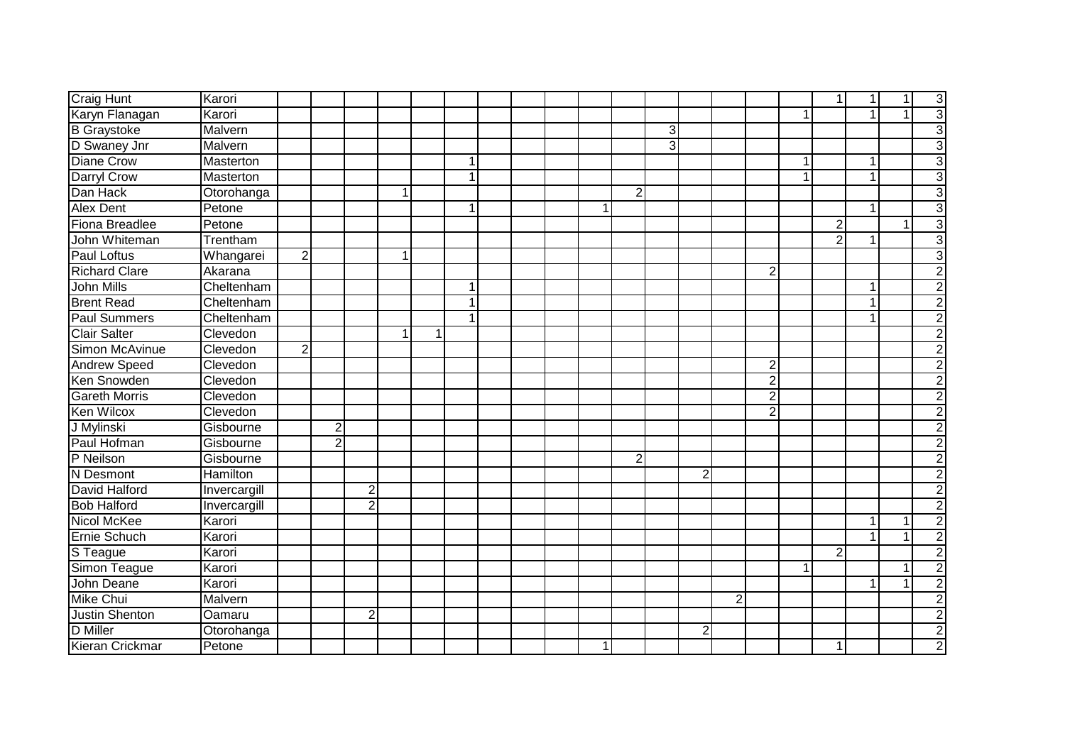| <b>Craig Hunt</b>     | Karori           |                |                |                |             |   |   |  |   |                |   |                |                |                |   | 1              | 1            | 1 | 3                         |
|-----------------------|------------------|----------------|----------------|----------------|-------------|---|---|--|---|----------------|---|----------------|----------------|----------------|---|----------------|--------------|---|---------------------------|
| Karyn Flanagan        | Karori           |                |                |                |             |   |   |  |   |                |   |                |                |                | 1 |                | $\mathbf{1}$ |   | 3                         |
| <b>B</b> Graystoke    | Malvern          |                |                |                |             |   |   |  |   |                | 3 |                |                |                |   |                |              |   | 3                         |
| D Swaney Jnr          | Malvern          |                |                |                |             |   |   |  |   |                | 3 |                |                |                |   |                |              |   | 3                         |
| <b>Diane Crow</b>     | <b>Masterton</b> |                |                |                |             |   | 1 |  |   |                |   |                |                |                | 1 |                | 1            |   | 3                         |
| <b>Darryl Crow</b>    | <b>Masterton</b> |                |                |                |             |   | 1 |  |   |                |   |                |                |                | 1 |                | $\mathbf{1}$ |   | 3                         |
| Dan Hack              | Otorohanga       |                |                |                | $\mathbf 1$ |   |   |  |   | $\overline{2}$ |   |                |                |                |   |                |              |   | 3                         |
| <b>Alex Dent</b>      | Petone           |                |                |                |             |   | 1 |  | 1 |                |   |                |                |                |   |                | $\mathbf{1}$ |   | 3                         |
| Fiona Breadlee        | Petone           |                |                |                |             |   |   |  |   |                |   |                |                |                |   | $\overline{2}$ |              |   | 3                         |
| John Whiteman         | Trentham         |                |                |                |             |   |   |  |   |                |   |                |                |                |   | $\overline{2}$ | $\mathbf{1}$ |   | 3                         |
| Paul Loftus           | Whangarei        | $\overline{2}$ |                |                | $\mathbf 1$ |   |   |  |   |                |   |                |                |                |   |                |              |   | 3                         |
| <b>Richard Clare</b>  | Akarana          |                |                |                |             |   |   |  |   |                |   |                |                | 2              |   |                |              |   | 2                         |
| <b>John Mills</b>     | Cheltenham       |                |                |                |             |   | 1 |  |   |                |   |                |                |                |   |                | $\mathbf{1}$ |   |                           |
| <b>Brent Read</b>     | Cheltenham       |                |                |                |             |   | 1 |  |   |                |   |                |                |                |   |                | $\mathbf{1}$ |   |                           |
| <b>Paul Summers</b>   | Cheltenham       |                |                |                |             |   | 1 |  |   |                |   |                |                |                |   |                | 1            |   |                           |
| <b>Clair Salter</b>   | Clevedon         |                |                |                | 1           | 1 |   |  |   |                |   |                |                |                |   |                |              |   |                           |
| Simon McAvinue        | Clevedon         | $\overline{2}$ |                |                |             |   |   |  |   |                |   |                |                |                |   |                |              |   | $\overline{2}$            |
| <b>Andrew Speed</b>   | Clevedon         |                |                |                |             |   |   |  |   |                |   |                |                | 2              |   |                |              |   | 2                         |
| Ken Snowden           | Clevedon         |                |                |                |             |   |   |  |   |                |   |                |                | 2              |   |                |              |   | 2                         |
| <b>Gareth Morris</b>  | Clevedon         |                |                |                |             |   |   |  |   |                |   |                |                | $\overline{2}$ |   |                |              |   | 2                         |
| Ken Wilcox            | Clevedon         |                |                |                |             |   |   |  |   |                |   |                |                | $\overline{2}$ |   |                |              |   | 2                         |
| J Mylinski            | Gisbourne        |                | $\overline{2}$ |                |             |   |   |  |   |                |   |                |                |                |   |                |              |   |                           |
| Paul Hofman           | Gisbourne        |                | $\overline{2}$ |                |             |   |   |  |   |                |   |                |                |                |   |                |              |   | $\overline{2}$            |
| P Neilson             | Gisbourne        |                |                |                |             |   |   |  |   | $\overline{2}$ |   |                |                |                |   |                |              |   | $\overline{2}$            |
| N Desmont             | Hamilton         |                |                |                |             |   |   |  |   |                |   | $\overline{2}$ |                |                |   |                |              |   | 2                         |
| David Halford         | Invercargill     |                |                | 2              |             |   |   |  |   |                |   |                |                |                |   |                |              |   | $\mathbf{2}^{\mathsf{I}}$ |
| <b>Bob Halford</b>    | Invercargill     |                |                | $\overline{2}$ |             |   |   |  |   |                |   |                |                |                |   |                |              |   | $\overline{2}$            |
| Nicol McKee           | Karori           |                |                |                |             |   |   |  |   |                |   |                |                |                |   |                | $\mathbf{1}$ |   | 2                         |
| Ernie Schuch          | Karori           |                |                |                |             |   |   |  |   |                |   |                |                |                |   |                |              |   | $\overline{2}$            |
| S Teague              | Karori           |                |                |                |             |   |   |  |   |                |   |                |                |                |   | $\overline{2}$ |              |   | $\overline{2}$            |
| Simon Teague          | Karori           |                |                |                |             |   |   |  |   |                |   |                |                |                | 1 |                |              |   | $\overline{c}$            |
| John Deane            | Karori           |                |                |                |             |   |   |  |   |                |   |                |                |                |   |                | 1            |   | $\overline{2}$            |
| <b>Mike Chui</b>      | Malvern          |                |                |                |             |   |   |  |   |                |   |                | $\overline{2}$ |                |   |                |              |   | $\overline{2}$            |
| <b>Justin Shenton</b> | Oamaru           |                |                | $\overline{2}$ |             |   |   |  |   |                |   |                |                |                |   |                |              |   | $\overline{2}$            |
| D Miller              | Otorohanga       |                |                |                |             |   |   |  |   |                |   | $\overline{c}$ |                |                |   |                |              |   |                           |
| Kieran Crickmar       | Petone           |                |                |                |             |   |   |  | 1 |                |   |                |                |                |   | 1              |              |   | 2                         |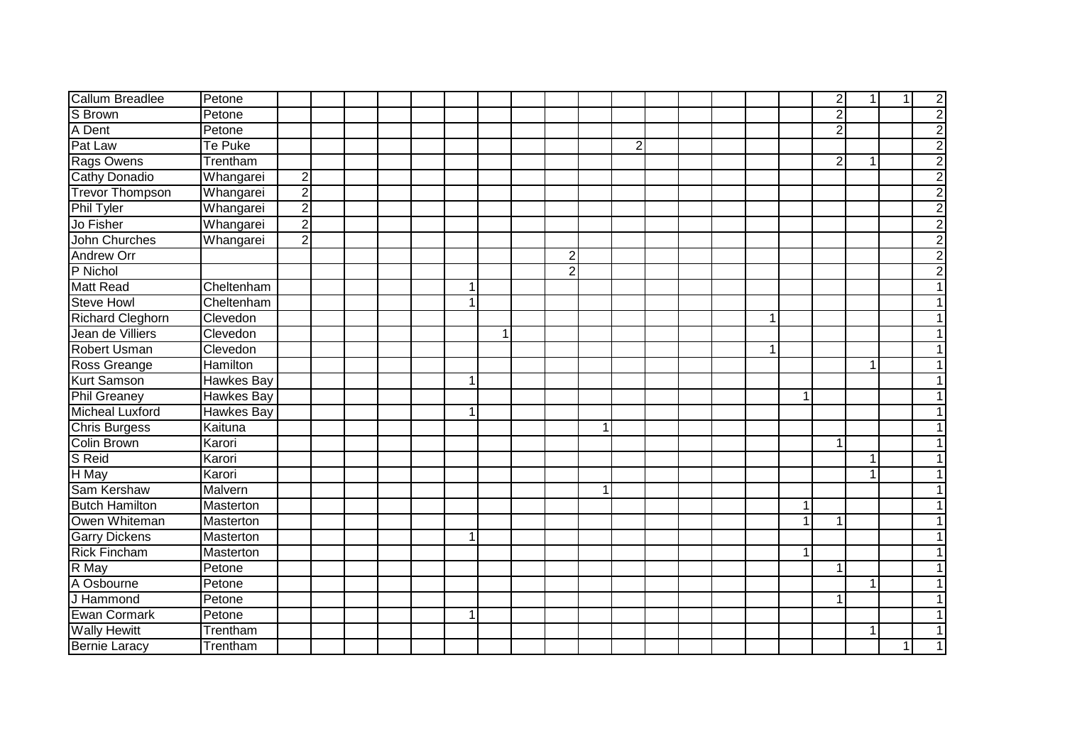| <b>Callum Breadlee</b>  | Petone            |                |  |  |                |   |                |    |                |  |  |                | $\overline{2}$ | 1 <sup>1</sup> | $\overline{1}$ | $\overline{2}$ |
|-------------------------|-------------------|----------------|--|--|----------------|---|----------------|----|----------------|--|--|----------------|----------------|----------------|----------------|----------------|
| S Brown                 | Petone            |                |  |  |                |   |                |    |                |  |  |                | $\overline{2}$ |                |                | $\overline{2}$ |
| A Dent                  | Petone            |                |  |  |                |   |                |    |                |  |  |                | $\overline{2}$ |                |                | $\overline{2}$ |
| Pat Law                 | Te Puke           |                |  |  |                |   |                |    | $\overline{2}$ |  |  |                |                |                |                | $\overline{2}$ |
| <b>Rags Owens</b>       | Trentham          |                |  |  |                |   |                |    |                |  |  |                | $\overline{2}$ | 1              |                | $\frac{2}{2}$  |
| <b>Cathy Donadio</b>    | Whangarei         | $\overline{2}$ |  |  |                |   |                |    |                |  |  |                |                |                |                |                |
| <b>Trevor Thompson</b>  | Whangarei         | $\overline{2}$ |  |  |                |   |                |    |                |  |  |                |                |                |                | $\overline{2}$ |
| <b>Phil Tyler</b>       | Whangarei         | $\overline{2}$ |  |  |                |   |                |    |                |  |  |                |                |                |                | $\overline{2}$ |
| Jo Fisher               | Whangarei         | $\overline{2}$ |  |  |                |   |                |    |                |  |  |                |                |                |                | $\overline{2}$ |
| John Churches           | Whangarei         | $\overline{2}$ |  |  |                |   |                |    |                |  |  |                |                |                |                | $\overline{2}$ |
| Andrew Orr              |                   |                |  |  |                |   | $\overline{2}$ |    |                |  |  |                |                |                |                | $\overline{2}$ |
| P Nichol                |                   |                |  |  |                |   | $\overline{2}$ |    |                |  |  |                |                |                |                | $\overline{2}$ |
| <b>Matt Read</b>        | Cheltenham        |                |  |  | 1 <sup>1</sup> |   |                |    |                |  |  |                |                |                |                |                |
| <b>Steve Howl</b>       | Cheltenham        |                |  |  | 1              |   |                |    |                |  |  |                |                |                |                |                |
| <b>Richard Cleghorn</b> | Clevedon          |                |  |  |                |   |                |    |                |  |  |                |                |                |                |                |
| Jean de Villiers        | Clevedon          |                |  |  |                | 1 |                |    |                |  |  |                |                |                |                |                |
| <b>Robert Usman</b>     | Clevedon          |                |  |  |                |   |                |    |                |  |  |                |                |                |                |                |
| Ross Greange            | Hamilton          |                |  |  |                |   |                |    |                |  |  |                |                | 1              |                | 1              |
| <b>Kurt Samson</b>      | Hawkes Bay        |                |  |  | 1              |   |                |    |                |  |  |                |                |                |                | 1              |
| <b>Phil Greaney</b>     | <b>Hawkes Bay</b> |                |  |  |                |   |                |    |                |  |  | $\mathbf 1$    |                |                |                | $\mathbf{1}$   |
| Micheal Luxford         | <b>Hawkes Bay</b> |                |  |  | 1 <sup>1</sup> |   |                |    |                |  |  |                |                |                |                | 1              |
| Chris Burgess           | Kaituna           |                |  |  |                |   |                | -1 |                |  |  |                |                |                |                | 1              |
| Colin Brown             | Karori            |                |  |  |                |   |                |    |                |  |  |                | $\mathbf{1}$   |                |                | 1              |
| S Reid                  | Karori            |                |  |  |                |   |                |    |                |  |  |                |                | $\mathbf{1}$   |                | 1              |
| H May                   | Karori            |                |  |  |                |   |                |    |                |  |  |                |                | 1              |                | 1              |
| Sam Kershaw             | Malvern           |                |  |  |                |   |                |    |                |  |  |                |                |                |                |                |
| <b>Butch Hamilton</b>   | Masterton         |                |  |  |                |   |                |    |                |  |  | $\overline{1}$ |                |                |                |                |
| Owen Whiteman           | Masterton         |                |  |  |                |   |                |    |                |  |  |                | 1              |                |                | 1              |
| <b>Garry Dickens</b>    | Masterton         |                |  |  |                |   |                |    |                |  |  |                |                |                |                |                |
| <b>Rick Fincham</b>     | Masterton         |                |  |  |                |   |                |    |                |  |  | 1              |                |                |                |                |
| R May                   | Petone            |                |  |  |                |   |                |    |                |  |  |                | 1              |                |                | 1              |
| A Osbourne              | Petone            |                |  |  |                |   |                |    |                |  |  |                |                |                |                | 1              |
| J Hammond               | Petone            |                |  |  |                |   |                |    |                |  |  |                | 1              |                |                | $\mathbf{1}$   |
| Ewan Cormark            | Petone            |                |  |  | 1 <sup>1</sup> |   |                |    |                |  |  |                |                |                |                | $\mathbf{1}$   |
| <b>Wally Hewitt</b>     | Trentham          |                |  |  |                |   |                |    |                |  |  |                |                | 1              |                | 1              |
| <b>Bernie Laracy</b>    | Trentham          |                |  |  |                |   |                |    |                |  |  |                |                |                | 1              | $\mathbf{1}$   |